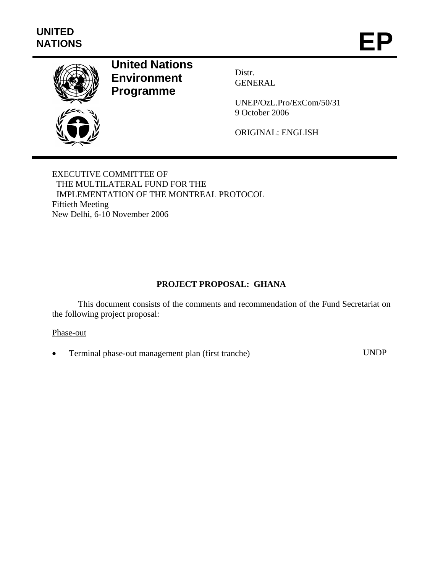

# **United Nations Environment Programme**

Distr. GENERAL

UNEP/OzL.Pro/ExCom/50/31 9 October 2006

ORIGINAL: ENGLISH

EXECUTIVE COMMITTEE OF THE MULTILATERAL FUND FOR THE IMPLEMENTATION OF THE MONTREAL PROTOCOL Fiftieth Meeting New Delhi, 6-10 November 2006

# **PROJECT PROPOSAL: GHANA**

This document consists of the comments and recommendation of the Fund Secretariat on the following project proposal:

#### Phase-out

• Terminal phase-out management plan (first tranche) UNDP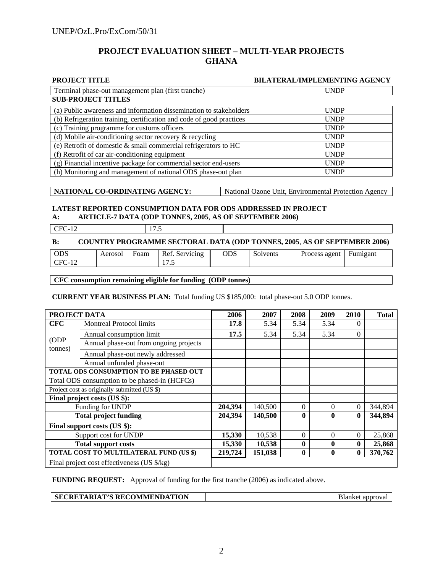# **PROJECT EVALUATION SHEET – MULTI-YEAR PROJECTS GHANA**

| PROJECT TITLE                                                        | <b>BILATERAL/IMPLEMENTING AGENCY</b> |
|----------------------------------------------------------------------|--------------------------------------|
| Terminal phase-out management plan (first tranche)                   | <b>UNDP</b>                          |
| <b>SUB-PROJECT TITLES</b>                                            |                                      |
| (a) Public awareness and information dissemination to stakeholders   | <b>UNDP</b>                          |
| (b) Refrigeration training, certification and code of good practices | <b>UNDP</b>                          |
| (c) Training programme for customs officers                          | <b>UNDP</b>                          |
| (d) Mobile air-conditioning sector recovery & recycling              | <b>UNDP</b>                          |
| (e) Retrofit of domestic & small commercial refrigerators to HC      | <b>UNDP</b>                          |
| (f) Retrofit of car air-conditioning equipment                       | <b>UNDP</b>                          |
| (g) Financial incentive package for commercial sector end-users      | <b>UNDP</b>                          |
| (h) Monitoring and management of national ODS phase-out plan         | <b>UNDP</b>                          |

**NATIONAL CO-ORDINATING AGENCY:** National Ozone Unit, Environmental Protection Agency

#### **LATEST REPORTED CONSUMPTION DATA FOR ODS ADDRESSED IN PROJECT A: ARTICLE-7 DATA (ODP TONNES, 2005**, **AS OF SEPTEMBER 2006)**

| $\Gamma$ CFC-12 | 17.5 |                                                                                 |  |
|-----------------|------|---------------------------------------------------------------------------------|--|
|                 |      | <b>COUNTRY PROGRAMME SECTORAL DATA (ODP TONNES, 2005, AS OF SEPTEMBER 2006)</b> |  |

| odo<br>פעט | Aerosol | Foam | $\overline{\phantom{a}}$<br>Ret<br>Servicing<br>Λc | $\cap \cap \cap$<br>UDS | $\sim$<br>Solvents | agent<br>Process | Fumigant |
|------------|---------|------|----------------------------------------------------|-------------------------|--------------------|------------------|----------|
| $-1$<br>້  |         |      | $ -$<br>$\cdot\cdot\cdot$                          |                         |                    |                  |          |

#### **CFC consumption remaining eligible for funding (ODP tonnes)**

**CURRENT YEAR BUSINESS PLAN:** Total funding US \$185,000: total phase-out 5.0 ODP tonnes.

| PROJECT DATA                                 |                                               | 2006    | 2007    | 2008         | 2009         | 2010           | <b>Total</b> |
|----------------------------------------------|-----------------------------------------------|---------|---------|--------------|--------------|----------------|--------------|
| <b>CFC</b>                                   | <b>Montreal Protocol limits</b>               | 17.8    | 5.34    | 5.34         | 5.34         | 0              |              |
|                                              | Annual consumption limit                      | 17.5    | 5.34    | 5.34         | 5.34         | $\Omega$       |              |
| (ODP)<br>tonnes)                             | Annual phase-out from ongoing projects        |         |         |              |              |                |              |
|                                              | Annual phase-out newly addressed              |         |         |              |              |                |              |
|                                              | Annual unfunded phase-out                     |         |         |              |              |                |              |
|                                              | TOTAL ODS CONSUMPTION TO BE PHASED OUT        |         |         |              |              |                |              |
|                                              | Total ODS consumption to be phased-in (HCFCs) |         |         |              |              |                |              |
| Project cost as originally submitted (US \$) |                                               |         |         |              |              |                |              |
| Final project costs (US \$):                 |                                               |         |         |              |              |                |              |
| Funding for UNDP                             |                                               | 204,394 | 140,500 | $\Omega$     | 0            | $\Omega$       | 344,894      |
| <b>Total project funding</b>                 |                                               | 204,394 | 140,500 | $\mathbf{0}$ |              | 0              | 344,894      |
|                                              | Final support costs (US \$):                  |         |         |              |              |                |              |
| Support cost for UNDP                        |                                               | 15,330  | 10,538  | $\Omega$     | $\Omega$     | $\overline{0}$ | 25,868       |
| <b>Total support costs</b>                   |                                               | 15,330  | 10,538  | $\mathbf{0}$ | 0            | $\bf{0}$       | 25,868       |
|                                              | TOTAL COST TO MULTILATERAL FUND (US \$)       | 219,724 | 151,038 | $\mathbf{0}$ | $\mathbf{0}$ | $\bf{0}$       | 370,762      |
|                                              | Final project cost effectiveness (US \$/kg)   |         |         |              |              |                |              |

**FUNDING REQUEST:** Approval of funding for the first tranche (2006) as indicated above.

**SECRETARIAT'S RECOMMENDATION Blanket approval**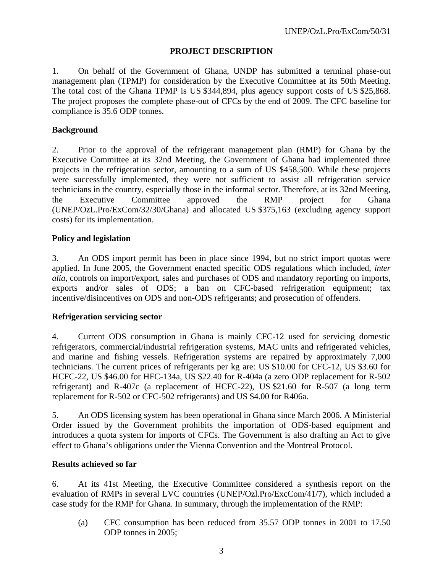# **PROJECT DESCRIPTION**

1. On behalf of the Government of Ghana, UNDP has submitted a terminal phase-out management plan (TPMP) for consideration by the Executive Committee at its 50th Meeting. The total cost of the Ghana TPMP is US \$344,894, plus agency support costs of US \$25,868. The project proposes the complete phase-out of CFCs by the end of 2009. The CFC baseline for compliance is 35.6 ODP tonnes.

# **Background**

2. Prior to the approval of the refrigerant management plan (RMP) for Ghana by the Executive Committee at its 32nd Meeting, the Government of Ghana had implemented three projects in the refrigeration sector, amounting to a sum of US \$458,500. While these projects were successfully implemented, they were not sufficient to assist all refrigeration service technicians in the country, especially those in the informal sector. Therefore, at its 32nd Meeting, the Executive Committee approved the RMP project for Ghana (UNEP/OzL.Pro/ExCom/32/30/Ghana) and allocated US \$375,163 (excluding agency support costs) for its implementation.

#### **Policy and legislation**

3. An ODS import permit has been in place since 1994, but no strict import quotas were applied. In June 2005, the Government enacted specific ODS regulations which included, *inter alia*, controls on import/export, sales and purchases of ODS and mandatory reporting on imports, exports and/or sales of ODS; a ban on CFC-based refrigeration equipment; tax incentive/disincentives on ODS and non-ODS refrigerants; and prosecution of offenders.

#### **Refrigeration servicing sector**

4. Current ODS consumption in Ghana is mainly CFC-12 used for servicing domestic refrigerators, commercial/industrial refrigeration systems, MAC units and refrigerated vehicles, and marine and fishing vessels. Refrigeration systems are repaired by approximately 7,000 technicians. The current prices of refrigerants per kg are: US \$10.00 for CFC-12, US \$3.60 for HCFC-22, US \$46.00 for HFC-134a, US \$22.40 for R-404a (a zero ODP replacement for R-502 refrigerant) and R-407c (a replacement of HCFC-22), US \$21.60 for R-507 (a long term replacement for R-502 or CFC-502 refrigerants) and US \$4.00 for R406a.

5. An ODS licensing system has been operational in Ghana since March 2006. A Ministerial Order issued by the Government prohibits the importation of ODS-based equipment and introduces a quota system for imports of CFCs. The Government is also drafting an Act to give effect to Ghana's obligations under the Vienna Convention and the Montreal Protocol.

#### **Results achieved so far**

6. At its 41st Meeting, the Executive Committee considered a synthesis report on the evaluation of RMPs in several LVC countries (UNEP/Ozl.Pro/ExcCom/41/7), which included a case study for the RMP for Ghana. In summary, through the implementation of the RMP:

(a) CFC consumption has been reduced from 35.57 ODP tonnes in 2001 to 17.50 ODP tonnes in 2005;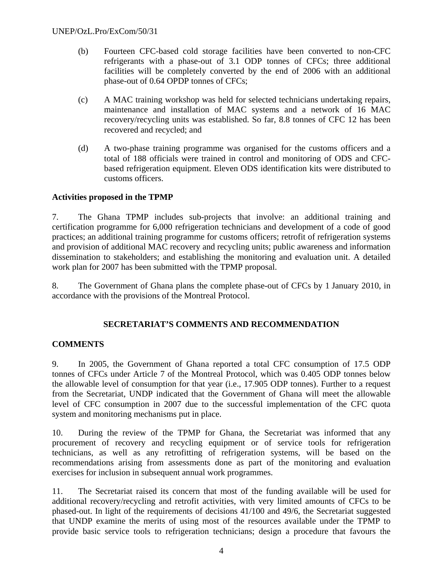- (b) Fourteen CFC-based cold storage facilities have been converted to non-CFC refrigerants with a phase-out of 3.1 ODP tonnes of CFCs; three additional facilities will be completely converted by the end of 2006 with an additional phase-out of 0.64 OPDP tonnes of CFCs;
- (c) A MAC training workshop was held for selected technicians undertaking repairs, maintenance and installation of MAC systems and a network of 16 MAC recovery/recycling units was established. So far, 8.8 tonnes of CFC 12 has been recovered and recycled; and
- (d) A two-phase training programme was organised for the customs officers and a total of 188 officials were trained in control and monitoring of ODS and CFCbased refrigeration equipment. Eleven ODS identification kits were distributed to customs officers.

# **Activities proposed in the TPMP**

7. The Ghana TPMP includes sub-projects that involve: an additional training and certification programme for 6,000 refrigeration technicians and development of a code of good practices; an additional training programme for customs officers; retrofit of refrigeration systems and provision of additional MAC recovery and recycling units; public awareness and information dissemination to stakeholders; and establishing the monitoring and evaluation unit. A detailed work plan for 2007 has been submitted with the TPMP proposal.

8. The Government of Ghana plans the complete phase-out of CFCs by 1 January 2010, in accordance with the provisions of the Montreal Protocol.

# **SECRETARIAT'S COMMENTS AND RECOMMENDATION**

# **COMMENTS**

9. In 2005, the Government of Ghana reported a total CFC consumption of 17.5 ODP tonnes of CFCs under Article 7 of the Montreal Protocol, which was 0.405 ODP tonnes below the allowable level of consumption for that year (i.e., 17.905 ODP tonnes). Further to a request from the Secretariat, UNDP indicated that the Government of Ghana will meet the allowable level of CFC consumption in 2007 due to the successful implementation of the CFC quota system and monitoring mechanisms put in place.

10. During the review of the TPMP for Ghana, the Secretariat was informed that any procurement of recovery and recycling equipment or of service tools for refrigeration technicians, as well as any retrofitting of refrigeration systems, will be based on the recommendations arising from assessments done as part of the monitoring and evaluation exercises for inclusion in subsequent annual work programmes.

11. The Secretariat raised its concern that most of the funding available will be used for additional recovery/recycling and retrofit activities, with very limited amounts of CFCs to be phased-out. In light of the requirements of decisions 41/100 and 49/6, the Secretariat suggested that UNDP examine the merits of using most of the resources available under the TPMP to provide basic service tools to refrigeration technicians; design a procedure that favours the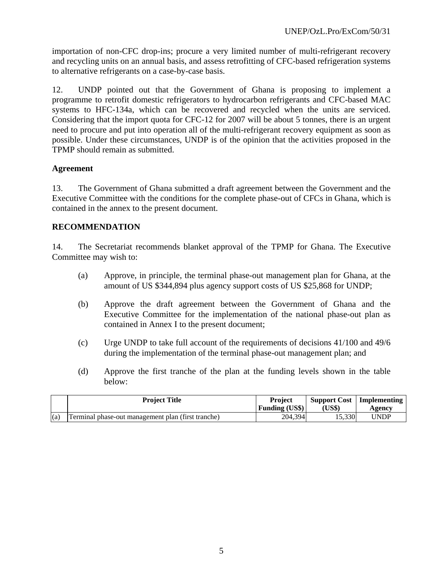importation of non-CFC drop-ins; procure a very limited number of multi-refrigerant recovery and recycling units on an annual basis, and assess retrofitting of CFC-based refrigeration systems to alternative refrigerants on a case-by-case basis.

12. UNDP pointed out that the Government of Ghana is proposing to implement a programme to retrofit domestic refrigerators to hydrocarbon refrigerants and CFC-based MAC systems to HFC-134a, which can be recovered and recycled when the units are serviced. Considering that the import quota for CFC-12 for 2007 will be about 5 tonnes, there is an urgent need to procure and put into operation all of the multi-refrigerant recovery equipment as soon as possible. Under these circumstances, UNDP is of the opinion that the activities proposed in the TPMP should remain as submitted.

# **Agreement**

13. The Government of Ghana submitted a draft agreement between the Government and the Executive Committee with the conditions for the complete phase-out of CFCs in Ghana, which is contained in the annex to the present document.

# **RECOMMENDATION**

14. The Secretariat recommends blanket approval of the TPMP for Ghana. The Executive Committee may wish to:

- (a) Approve, in principle, the terminal phase-out management plan for Ghana, at the amount of US \$344,894 plus agency support costs of US \$25,868 for UNDP;
- (b) Approve the draft agreement between the Government of Ghana and the Executive Committee for the implementation of the national phase-out plan as contained in Annex I to the present document;
- (c) Urge UNDP to take full account of the requirements of decisions 41/100 and 49/6 during the implementation of the terminal phase-out management plan; and
- (d) Approve the first tranche of the plan at the funding levels shown in the table below:

|     | <b>Project Title</b>                               | <b>Project</b><br><b>Funding (US\$)</b> | <b>Support Cost</b><br>US\$) | Implementing<br>Agency |
|-----|----------------------------------------------------|-----------------------------------------|------------------------------|------------------------|
| (a) | Terminal phase-out management plan (first tranche) | 204,394                                 | 15,330                       | UNDP                   |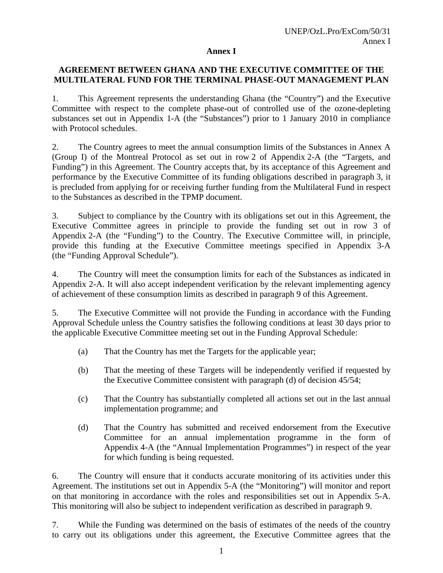#### **Annex I**

# **AGREEMENT BETWEEN GHANA AND THE EXECUTIVE COMMITTEE OF THE MULTILATERAL FUND FOR THE TERMINAL PHASE-OUT MANAGEMENT PLAN**

1. This Agreement represents the understanding Ghana (the "Country") and the Executive Committee with respect to the complete phase-out of controlled use of the ozone-depleting substances set out in Appendix 1-A (the "Substances") prior to 1 January 2010 in compliance with Protocol schedules.

2. The Country agrees to meet the annual consumption limits of the Substances in Annex A (Group I) of the Montreal Protocol as set out in row 2 of Appendix 2-A (the "Targets, and Funding") in this Agreement. The Country accepts that, by its acceptance of this Agreement and performance by the Executive Committee of its funding obligations described in paragraph 3, it is precluded from applying for or receiving further funding from the Multilateral Fund in respect to the Substances as described in the TPMP document.

3. Subject to compliance by the Country with its obligations set out in this Agreement, the Executive Committee agrees in principle to provide the funding set out in row 3 of Appendix 2-A (the "Funding") to the Country. The Executive Committee will, in principle, provide this funding at the Executive Committee meetings specified in Appendix 3-A (the "Funding Approval Schedule").

4. The Country will meet the consumption limits for each of the Substances as indicated in Appendix 2-A. It will also accept independent verification by the relevant implementing agency of achievement of these consumption limits as described in paragraph 9 of this Agreement.

5. The Executive Committee will not provide the Funding in accordance with the Funding Approval Schedule unless the Country satisfies the following conditions at least 30 days prior to the applicable Executive Committee meeting set out in the Funding Approval Schedule:

- (a) That the Country has met the Targets for the applicable year;
- (b) That the meeting of these Targets will be independently verified if requested by the Executive Committee consistent with paragraph (d) of decision 45/54;
- (c) That the Country has substantially completed all actions set out in the last annual implementation programme; and
- (d) That the Country has submitted and received endorsement from the Executive Committee for an annual implementation programme in the form of Appendix 4-A (the "Annual Implementation Programmes") in respect of the year for which funding is being requested.

6. The Country will ensure that it conducts accurate monitoring of its activities under this Agreement. The institutions set out in Appendix 5-A (the "Monitoring") will monitor and report on that monitoring in accordance with the roles and responsibilities set out in Appendix 5-A. This monitoring will also be subject to independent verification as described in paragraph 9.

7. While the Funding was determined on the basis of estimates of the needs of the country to carry out its obligations under this agreement, the Executive Committee agrees that the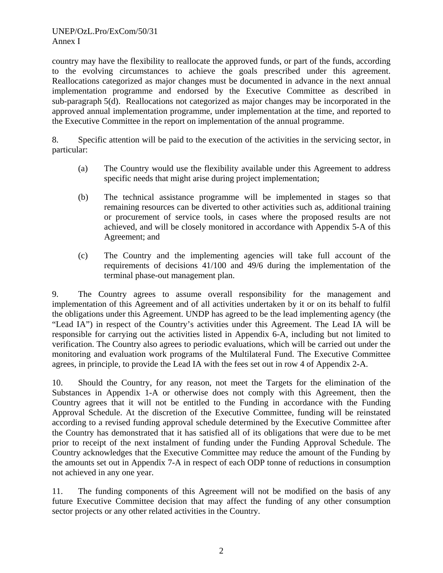country may have the flexibility to reallocate the approved funds, or part of the funds, according to the evolving circumstances to achieve the goals prescribed under this agreement. Reallocations categorized as major changes must be documented in advance in the next annual implementation programme and endorsed by the Executive Committee as described in sub-paragraph 5(d). Reallocations not categorized as major changes may be incorporated in the approved annual implementation programme, under implementation at the time, and reported to the Executive Committee in the report on implementation of the annual programme.

8. Specific attention will be paid to the execution of the activities in the servicing sector, in particular:

- (a) The Country would use the flexibility available under this Agreement to address specific needs that might arise during project implementation;
- (b) The technical assistance programme will be implemented in stages so that remaining resources can be diverted to other activities such as, additional training or procurement of service tools, in cases where the proposed results are not achieved, and will be closely monitored in accordance with Appendix 5-A of this Agreement; and
- (c) The Country and the implementing agencies will take full account of the requirements of decisions 41/100 and 49/6 during the implementation of the terminal phase-out management plan.

9. The Country agrees to assume overall responsibility for the management and implementation of this Agreement and of all activities undertaken by it or on its behalf to fulfil the obligations under this Agreement. UNDP has agreed to be the lead implementing agency (the "Lead IA") in respect of the Country's activities under this Agreement. The Lead IA will be responsible for carrying out the activities listed in Appendix 6-A, including but not limited to verification. The Country also agrees to periodic evaluations, which will be carried out under the monitoring and evaluation work programs of the Multilateral Fund. The Executive Committee agrees, in principle, to provide the Lead IA with the fees set out in row 4 of Appendix 2-A.

10. Should the Country, for any reason, not meet the Targets for the elimination of the Substances in Appendix 1-A or otherwise does not comply with this Agreement, then the Country agrees that it will not be entitled to the Funding in accordance with the Funding Approval Schedule. At the discretion of the Executive Committee, funding will be reinstated according to a revised funding approval schedule determined by the Executive Committee after the Country has demonstrated that it has satisfied all of its obligations that were due to be met prior to receipt of the next instalment of funding under the Funding Approval Schedule. The Country acknowledges that the Executive Committee may reduce the amount of the Funding by the amounts set out in Appendix 7-A in respect of each ODP tonne of reductions in consumption not achieved in any one year.

11. The funding components of this Agreement will not be modified on the basis of any future Executive Committee decision that may affect the funding of any other consumption sector projects or any other related activities in the Country.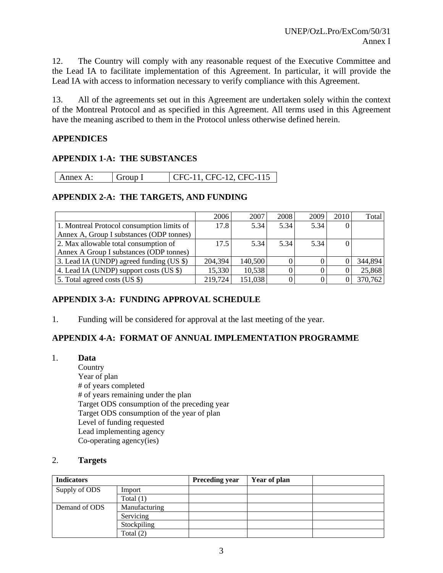12. The Country will comply with any reasonable request of the Executive Committee and the Lead IA to facilitate implementation of this Agreement. In particular, it will provide the Lead IA with access to information necessary to verify compliance with this Agreement.

13. All of the agreements set out in this Agreement are undertaken solely within the context of the Montreal Protocol and as specified in this Agreement. All terms used in this Agreement have the meaning ascribed to them in the Protocol unless otherwise defined herein.

# **APPENDICES**

# **APPENDIX 1-A: THE SUBSTANCES**

| CFC-11, CFC-12, CFC-115<br>  Annex A. |
|---------------------------------------|
|---------------------------------------|

# **APPENDIX 2-A: THE TARGETS, AND FUNDING**

|                                            | 2006    | 2007    | 2008 | 2009 | 2010     | Total   |
|--------------------------------------------|---------|---------|------|------|----------|---------|
| 1. Montreal Protocol consumption limits of | 17.8    | 5.34    | 5.34 | 5.34 | $\theta$ |         |
| Annex A, Group I substances (ODP tonnes)   |         |         |      |      |          |         |
| 2. Max allowable total consumption of      | 17.5    | 5.34    | 5.34 | 5.34 | $\theta$ |         |
| Annex A Group I substances (ODP tonnes)    |         |         |      |      |          |         |
| 3. Lead IA (UNDP) agreed funding (US \$)   | 204,394 | 140,500 |      |      |          | 344,894 |
| 4. Lead IA (UNDP) support costs (US \$)    | 15,330  | 10,538  |      |      |          | 25,868  |
| 5. Total agreed costs (US \$)              | 219,724 | 151,038 |      |      | $\theta$ | 370,762 |

# **APPENDIX 3-A: FUNDING APPROVAL SCHEDULE**

1. Funding will be considered for approval at the last meeting of the year.

# **APPENDIX 4-A: FORMAT OF ANNUAL IMPLEMENTATION PROGRAMME**

1. **Data Country**  Year of plan # of years completed # of years remaining under the plan Target ODS consumption of the preceding year Target ODS consumption of the year of plan Level of funding requested Lead implementing agency Co-operating agency(ies)

#### 2. **Targets**

| <b>Indicators</b> |               | <b>Preceding year</b> | Year of plan |  |
|-------------------|---------------|-----------------------|--------------|--|
| Supply of ODS     | Import        |                       |              |  |
|                   | Total $(1)$   |                       |              |  |
| Demand of ODS     | Manufacturing |                       |              |  |
|                   | Servicing     |                       |              |  |
|                   | Stockpiling   |                       |              |  |
|                   | Total $(2)$   |                       |              |  |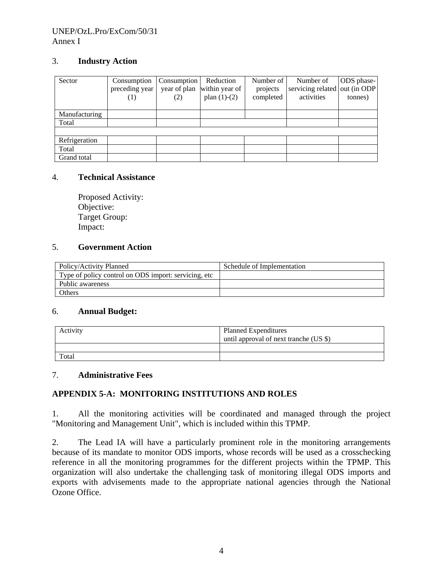## UNEP/OzL.Pro/ExCom/50/31 Annex I

# 3. **Industry Action**

| Sector        | Consumption<br>preceding year<br>(1) | Consumption<br>year of plan<br>(2) | Reduction<br>within year of<br>plan $(1)-(2)$ | Number of<br>projects<br>completed | Number of<br>servicing related out (in ODP<br>activities | ODS phase-<br>tonnes) |
|---------------|--------------------------------------|------------------------------------|-----------------------------------------------|------------------------------------|----------------------------------------------------------|-----------------------|
| Manufacturing |                                      |                                    |                                               |                                    |                                                          |                       |
| Total         |                                      |                                    |                                               |                                    |                                                          |                       |
|               |                                      |                                    |                                               |                                    |                                                          |                       |
| Refrigeration |                                      |                                    |                                               |                                    |                                                          |                       |
| Total         |                                      |                                    |                                               |                                    |                                                          |                       |
| Grand total   |                                      |                                    |                                               |                                    |                                                          |                       |

#### 4. **Technical Assistance**

Proposed Activity: Objective: Target Group: Impact:

#### 5. **Government Action**

| Policy/Activity Planned                               | Schedule of Implementation |
|-------------------------------------------------------|----------------------------|
| Type of policy control on ODS import: servicing, etc. |                            |
| Public awareness                                      |                            |
| <b>Others</b>                                         |                            |

# 6. **Annual Budget:**

| Activity | <b>Planned Expenditures</b><br>until approval of next tranche (US \$) |
|----------|-----------------------------------------------------------------------|
|          |                                                                       |
| Total    |                                                                       |

#### 7. **Administrative Fees**

# **APPENDIX 5-A: MONITORING INSTITUTIONS AND ROLES**

1. All the monitoring activities will be coordinated and managed through the project "Monitoring and Management Unit", which is included within this TPMP.

2. The Lead IA will have a particularly prominent role in the monitoring arrangements because of its mandate to monitor ODS imports, whose records will be used as a crosschecking reference in all the monitoring programmes for the different projects within the TPMP. This organization will also undertake the challenging task of monitoring illegal ODS imports and exports with advisements made to the appropriate national agencies through the National Ozone Office.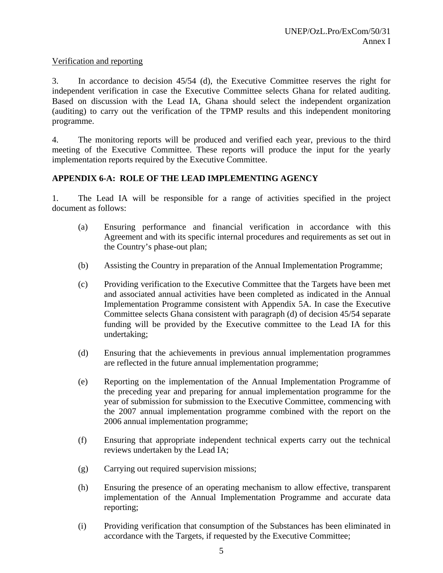# Verification and reporting

3. In accordance to decision 45/54 (d), the Executive Committee reserves the right for independent verification in case the Executive Committee selects Ghana for related auditing. Based on discussion with the Lead IA, Ghana should select the independent organization (auditing) to carry out the verification of the TPMP results and this independent monitoring programme.

4. The monitoring reports will be produced and verified each year, previous to the third meeting of the Executive Committee. These reports will produce the input for the yearly implementation reports required by the Executive Committee.

# **APPENDIX 6-A: ROLE OF THE LEAD IMPLEMENTING AGENCY**

1. The Lead IA will be responsible for a range of activities specified in the project document as follows:

- (a) Ensuring performance and financial verification in accordance with this Agreement and with its specific internal procedures and requirements as set out in the Country's phase-out plan;
- (b) Assisting the Country in preparation of the Annual Implementation Programme;
- (c) Providing verification to the Executive Committee that the Targets have been met and associated annual activities have been completed as indicated in the Annual Implementation Programme consistent with Appendix 5A. In case the Executive Committee selects Ghana consistent with paragraph (d) of decision 45/54 separate funding will be provided by the Executive committee to the Lead IA for this undertaking;
- (d) Ensuring that the achievements in previous annual implementation programmes are reflected in the future annual implementation programme;
- (e) Reporting on the implementation of the Annual Implementation Programme of the preceding year and preparing for annual implementation programme for the year of submission for submission to the Executive Committee, commencing with the 2007 annual implementation programme combined with the report on the 2006 annual implementation programme;
- (f) Ensuring that appropriate independent technical experts carry out the technical reviews undertaken by the Lead IA;
- (g) Carrying out required supervision missions;
- (h) Ensuring the presence of an operating mechanism to allow effective, transparent implementation of the Annual Implementation Programme and accurate data reporting;
- (i) Providing verification that consumption of the Substances has been eliminated in accordance with the Targets, if requested by the Executive Committee;